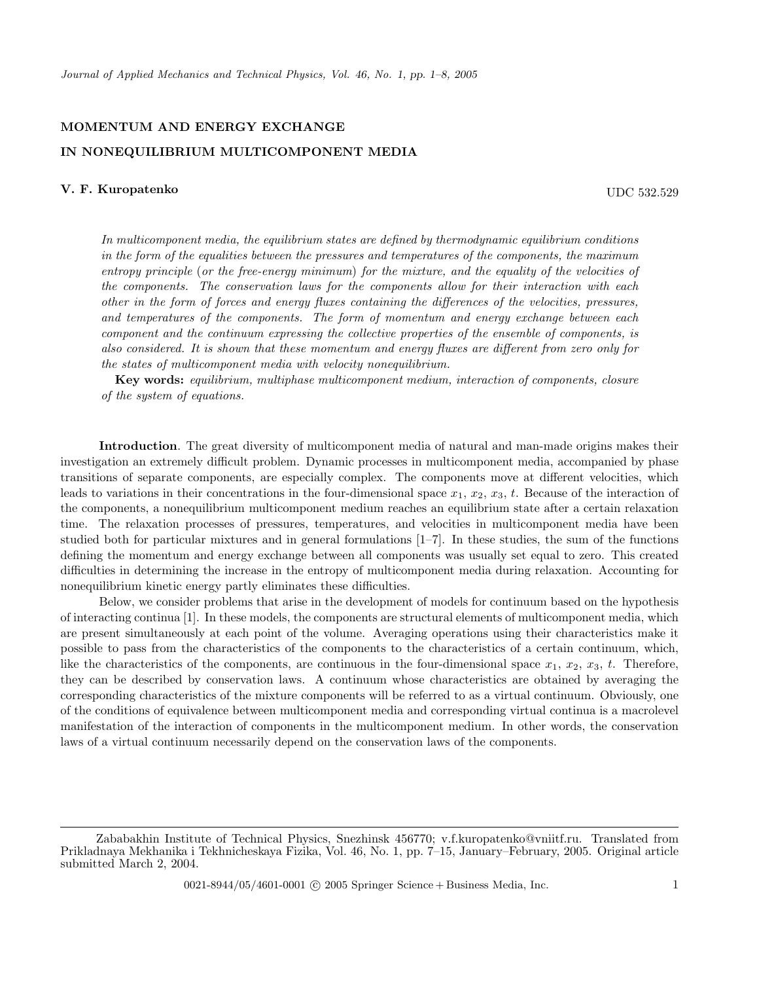## MOMENTUM AND ENERGY EXCHANGE IN NONEQUILIBRIUM MULTICOMPONENT MEDIA

## V. F. Kuropatenko UDC 532.529

In multicomponent media, the equilibrium states are defined by thermodynamic equilibrium conditions in the form of the equalities between the pressures and temperatures of the components, the maximum entropy principle (or the free-energy minimum) for the mixture, and the equality of the velocities of the components. The conservation laws for the components allow for their interaction with each other in the form of forces and energy fluxes containing the differences of the velocities, pressures, and temperatures of the components. The form of momentum and energy exchange between each component and the continuum expressing the collective properties of the ensemble of components, is also considered. It is shown that these momentum and energy fluxes are different from zero only for the states of multicomponent media with velocity nonequilibrium.

Key words: equilibrium, multiphase multicomponent medium, interaction of components, closure of the system of equations.

Introduction. The great diversity of multicomponent media of natural and man-made origins makes their investigation an extremely difficult problem. Dynamic processes in multicomponent media, accompanied by phase transitions of separate components, are especially complex. The components move at different velocities, which leads to variations in their concentrations in the four-dimensional space  $x_1, x_2, x_3, t$ . Because of the interaction of the components, a nonequilibrium multicomponent medium reaches an equilibrium state after a certain relaxation time. The relaxation processes of pressures, temperatures, and velocities in multicomponent media have been studied both for particular mixtures and in general formulations  $[1-\overline{7}]$ . In these studies, the sum of the functions defining the momentum and energy exchange between all components was usually set equal to zero. This created difficulties in determining the increase in the entropy of multicomponent media during relaxation. Accounting for nonequilibrium kinetic energy partly eliminates these difficulties.

Below, we consider problems that arise in the development of models for continuum based on the hypothesis of interacting continua [1]. In these models, the components are structural elements of multicomponent media, which are present simultaneously at each point of the volume. Averaging operations using their characteristics make it possible to pass from the characteristics of the components to the characteristics of a certain continuum, which, like the characteristics of the components, are continuous in the four-dimensional space  $x_1, x_2, x_3, t$ . Therefore, they can be described by conservation laws. A continuum whose characteristics are obtained by averaging the corresponding characteristics of the mixture components will be referred to as a virtual continuum. Obviously, one of the conditions of equivalence between multicomponent media and corresponding virtual continua is a macrolevel manifestation of the interaction of components in the multicomponent medium. In other words, the conservation laws of a virtual continuum necessarily depend on the conservation laws of the components.

Zababakhin Institute of Technical Physics, Snezhinsk 456770; v.f.kuropatenko@vniitf.ru. Translated from Prikladnaya Mekhanika i Tekhnicheskaya Fizika, Vol. 46, No. 1, pp. 7–15, January–February, 2005. Original article submitted March 2, 2004.